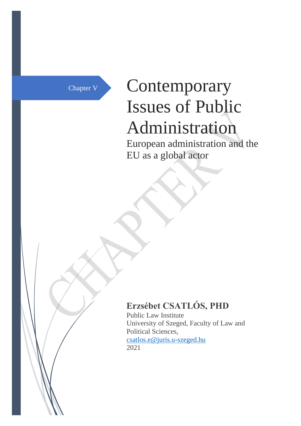# Contemporary Contemporary Issues of Public Administration

European administration and the EU as a global actor

# **Erzsébet CSATLÓS, PHD**

Public Law Institute University of Szeged, Faculty of Law and Political Sciences, [csatlos.e@juris.u-szeged.hu](mailto:csatlos.e@juris.u-szeged.hu) 2021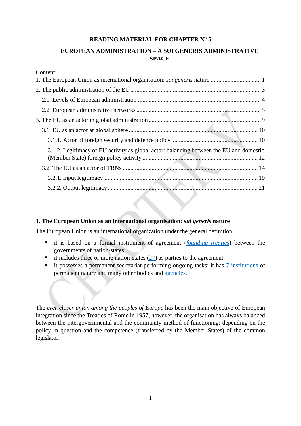### **READING MATERIAL FOR CHAPTER N<sup>o</sup> 5**

# **EUROPEAN ADMINISTRATION – A SUI GENERIS ADMINISTRATIVE SPACE**

| Content                                                                                 |  |
|-----------------------------------------------------------------------------------------|--|
|                                                                                         |  |
|                                                                                         |  |
|                                                                                         |  |
|                                                                                         |  |
|                                                                                         |  |
|                                                                                         |  |
|                                                                                         |  |
| 3.1.2. Legitimacy of EU activity as global actor: balancing between the EU and domestic |  |
|                                                                                         |  |
|                                                                                         |  |
|                                                                                         |  |

#### <span id="page-1-0"></span>**1. The European Union as an international organisation:** *sui generis* **nature**

The European Union is an international organization under the general definition:

- it is based on a formal instrument of agreement (*[founding treaties](https://eur-lex.europa.eu/collection/eu-law/treaties/treaties-founding.html)*) between the governments of nation-states
- $\blacksquare$  it includes three or more nation-states [\(27\)](https://europa.eu/european-union/about-eu/countries_en) as parties to the agreement;
- it possesses a permanent secretariat performing ongoing tasks: it has [7 institutions](https://eur-lex.europa.eu/summary/glossary/eu_institutions.html) of permanent nature and many other bodies and [agencies.](https://euagencies.eu/)

The *ever closer union among the peoples of Europe* has been the main objective of European integration since the Treaties of Rome in 1957, however, the organisation has always balanced between the intergovernmental and the community method of functioning; depending on the policy in question and the competence (transferred by the Member States) of the common legislator.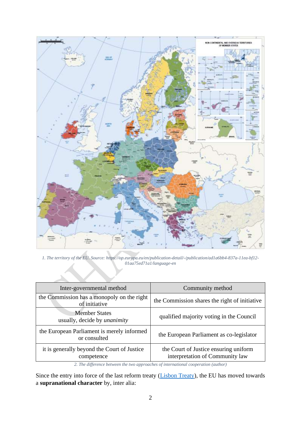

*1. The territory of the EU. Source: https://op.europa.eu/en/publication-detail/-/publication/ad1a6bb4-837a-11ea-bf12- 01aa75ed71a1/language-en*

| Inter-governmental method                                   | Community method                                                         |
|-------------------------------------------------------------|--------------------------------------------------------------------------|
| the Commission has a monopoly on the right<br>of initiative | the Commission shares the right of initiative                            |
| <b>Member States</b><br>usually, decide by <i>unanimity</i> | qualified majority voting in the Council                                 |
| the European Parliament is merely informed<br>or consulted  | the European Parliament as co-legislator                                 |
| it is generally beyond the Court of Justice<br>competence   | the Court of Justice ensuring uniform<br>interpretation of Community law |

*2. The difference between the two approaches of international cooperation (author)*

Since the entry into force of the last reform treaty [\(Lisbon Treaty\)](http://www.europarl.europa.eu/factsheets/en/sheet/5/the-treaty-of-lisbon), the EU has moved towards a **supranational character** by, inter alia: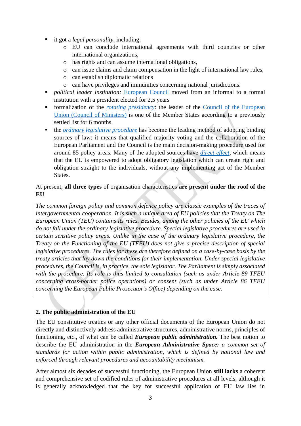- it got a *legal personality*, including:
	- o EU can conclude international agreements with third countries or other international organizations,
	- o has rights and can assume international obligations,
	- o can issue claims and claim compensation in the light of international law rules,
	- o can establish diplomatic relations
	- o can have privileges and immunities concerning national jurisdictions.
- *political leader institution:* [European Council](https://europa.eu/european-union/about-eu/institutions-bodies/european-council_en) moved from an informal to a formal institution with a president elected for 2,5 years
- **•** formalization of the *[rotating presidency](https://www.consilium.europa.eu/en/press/press-releases/2016/07/26/council-rotating-presidencies-revised-order/)*: the leader of the Council of the European [Union \(Council of Ministers\)](https://europa.eu/european-union/about-eu/institutions-bodies/council-eu_en) is one of the Member States according to a previously settled list for 6 months.
- the *[ordinary legislative procedure](https://www.consilium.europa.eu/en/council-eu/decision-making/ordinary-legislative-procedure/)* has become the leading method of adopting binding sources of law: it means that qualified majority voting and the collaboration of the European Parliament and the Council is the main decision-making procedure used for around 85 policy areas. Many of the adopted sources have *[direct effect](https://eur-lex.europa.eu/legal-content/EN/TXT/?uri=LEGISSUM%3Al14547)*, which means that the EU is empowered to adopt obligatory legislation which can create right and obligation straight to the individuals, without any implementing act of the Member States.

### At present, **all three types** of organisation characteristics **are present under the roof of the EU**.

*The common foreign policy and common defence policy are classic examples of the traces of intergovernmental cooperation. It is such a unique area of EU policies that the Treaty on The European Union (TEU) contains its rules. Besides, among the other policies of the EU which do not fall under the ordinary legislative procedure. Special legislative procedures are used in certain sensitive policy areas. Unlike in the case of the ordinary legislative procedure, the Treaty on the Functioning of the EU (TFEU) does not give a precise description of special legislative procedures. The rules for these are therefore defined on a case-by-case basis by the treaty articles that lay down the conditions for their implementation. Under special legislative procedures, the Council is, in practice, the sole legislator. The Parliament is simply associated with the procedure. Its role is thus limited to consultation (such as under Article 89 TFEU concerning cross-border police operations) or consent (such as under Article 86 TFEU concerning the European Public Prosecutor's Office) depending on the case.*

# <span id="page-3-0"></span>**2. The public administration of the EU**

The EU constitutive treaties or any other official documents of the European Union do not directly and distinctively address administrative structures, administrative norms, principles of functioning, etc., of what can be called *European public administration.* The best notion to describe the EU administration in the *European Administrative Space: a common set of standards for action within public administration, which is defined by national law and enforced through relevant procedures and accountability mechanism.*

After almost six decades of successful functioning, the European Union **still lacks** a coherent and comprehensive set of codified rules of administrative procedures at all levels, although it is generally acknowledged that the key for successful application of EU law lies in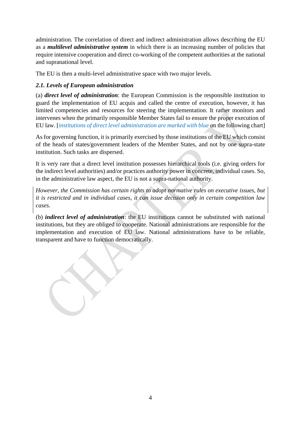administration. The correlation of direct and indirect administration allows describing the EU as a *multilevel administrative system* in which there is an increasing number of policies that require intensive cooperation and direct co-working of the competent authorities at the national and supranational level.

The EU is then a multi-level administrative space with two major levels.

# <span id="page-4-0"></span>*2.1. Levels of European administration*

(a) *direct level of administration*: the European Commission is the responsible institution to guard the implementation of EU acquis and called the centre of execution, however, it has limited competencies and resources for steering the implementation. It rather monitors and intervenes when the primarily responsible Member States fail to ensure the proper execution of EU law. [*institutions of direct level administration are marked with blue* on the following chart]

As for governing function, it is primarily exercised by those institutions of the EU which consist of the heads of states/government leaders of the Member States, and not by one supra-state institution. Such tasks are dispersed.

It is very rare that a direct level institution possesses hierarchical tools (i.e. giving orders for the indirect level authorities) and/or practices authority power in concrete, individual cases. So, in the administrative law aspect, the EU is not a supra-national authority.

*However, the Commission has certain rights to adopt normative rules on executive issues, but it is restricted and in individual cases, it can issue decision only in certain competition law cases.*

(b) *indirect level of administration*: the EU institutions cannot be substituted with national institutions, but they are obliged to cooperate. National administrations are responsible for the implementation and execution of EU law. National administrations have to be reliable, transparent and have to function democratically.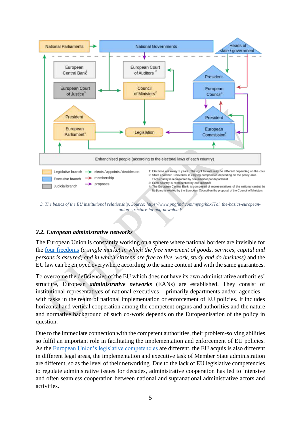

*3. The basics of the EU institutional relationship. Source: https://www.pngfind.com/mpng/hbxJToi\_the-basics-europeanunion-structure-hd-png-download/*

#### <span id="page-5-0"></span>*2.2. European administrative networks*

The European Union is constantly working on a sphere where national borders are invisible for the [four freedoms](https://eur-lex.europa.eu/summary/chapter/internal_market.html?locale=en&root_default=SUM_1_CODED%3D24) (*a single market in which the free movement of goods, services, capital and persons is assured, and in which citizens are free to live, work, study and do business)* and the EU law can be enjoyed everywhere according to the same content and with the same guarantees.

To overcome the deficiencies of the EU which does not have its own administrative authorities' structure, European *administrative networks* (EANs) are established. They consist of institutional representatives of national executives – primarily departments and/or agencies – with tasks in the realm of national implementation or enforcement of EU policies. It includes horizontal and vertical cooperation among the competent organs and authorities and the nature and normative background of such co-work depends on the Europeanisation of the policy in question.

Due to the immediate connection with the competent authorities, their problem-solving abilities so fulfil an important role in facilitating the implementation and enforcement of EU policies. As the [European Union's legislative competencies](http://publications.europa.eu/resource/cellar/62bbe30e-c1e5-42fa-92ad-e79d234a1458.0005.02/DOC_4) are different, the EU acquis is also different in different legal areas, the implementation and executive task of Member State administration are different, so as the level of their networking. Due to the lack of EU legislative competencies to regulate administrative issues for decades, administrative cooperation has led to intensive and often seamless cooperation between national and supranational administrative actors and activities.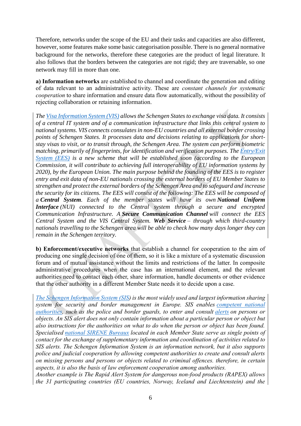Therefore, networks under the scope of the EU and their tasks and capacities are also different, however, some features make some basic categorisation possible. There is no general normative background for the networks, therefore these categories are the product of legal literature. It also follows that the borders between the categories are not rigid; they are traversable, so one network may fill in more than one.

**a) Information networks** are established to channel and coordinate the generation and editing of data relevant to an administrative activity. These are *constant channels for systematic cooperation* to share information and ensure data flow automatically, without the possibility of rejecting collaboration or retaining information.

*The [Visa Information System \(VIS\)](https://ec.europa.eu/home-affairs/what-we-do/policies/borders-and-visas/visa-information-system_en) allows the Schengen States to exchange visa data. It consists of a central IT system and of a communication infrastructure that links this central system to national systems. VIS connects consulates in non-EU countries and all external border crossing points of Schengen States. It processes data and decisions relating to applications for shortstay visas to visit, or to transit through, the Schengen Area. The system can perform biometric matching, primarily of fingerprints, for identification and verification purposes. The [Entry/Exit](https://www.schengenvisainfo.com/entry-exit-system-ees/)  [System \(EES\)](https://www.schengenvisainfo.com/entry-exit-system-ees/) is a new scheme that will be established soon (according to the European Commission, it will contribute to achieving full interoperability of EU information systems by 2020), by the European Union. The main purpose behind the founding of the EES is to register entry and exit data of non-EU nationals crossing the external borders of EU Member States to strengthen and protect the external borders of the Schengen Area and to safeguard and increase the security for its citizens. The EES will consist of the following: The EES will be composed of a Central System. Each of the member states will have its own National Uniform Interface (NUI) connected to the Central system through a secure and encrypted Communication Infrastructure. A Secure Communication Channel will connect the EES Central System and the VIS Central System. Web Service – through which third-country nationals travelling to the Schengen area will be able to check how many days longer they can remain in the Schengen territory.*

**b) Enforcement/executive networks** that establish a channel for cooperation to the aim of producing one single decision of one of them, so it is like a mixture of a systematic discussion forum and of mutual assistance without the limits and restrictions of the latter. In composite administrative procedures when the case has an international element, and the relevant authorities need to contact each other, share information, handle documents or other evidence that the other authority in a different Member State needs it to decide upon a case.

*[The Schengen Information System \(SIS\)](https://ec.europa.eu/home-affairs/what-we-do/policies/borders-and-visas/schengen-information-system_en) is the most widely used and largest information sharing system for security and border management in Europe. SIS enables [competent national](https://ec.europa.eu/home-affairs/what-we-do/policies/borders-and-visas/schengen-information-system/access-rights-and-data-protection)  [authorities,](https://ec.europa.eu/home-affairs/what-we-do/policies/borders-and-visas/schengen-information-system/access-rights-and-data-protection) such as the police and border guards, to enter and consult [alerts](https://ec.europa.eu/home-affairs/what-we-do/policies/borders-and-visas/schengen-information-system/alerts-and-data-in-the-sis) on persons or objects. An SIS alert does not only contain information about a particular person or object but also instructions for the authorities on what to do when the person or object has been found. Specialised [national SIRENE Bureaux](https://ec.europa.eu/home-affairs/what-we-do/policies/borders-and-visas/schengen-information-system/sirene-cooperation) located in each Member State serve as single points of contact for the exchange of supplementary information and coordination of activities related to SIS alerts. The Schengen Information System is an information network, but it also supports police and judicial cooperation by allowing competent authorities to create and consult alerts on missing persons and persons or objects related to criminal offences. therefore, in certain aspects, it is also the basis of law enforcement cooperation among authorities.*

*Another example is The Rapid Alert System for dangerous non-food products (RAPEX) allows the 31 participating countries (EU countries, Norway, Iceland and Liechtenstein) and the*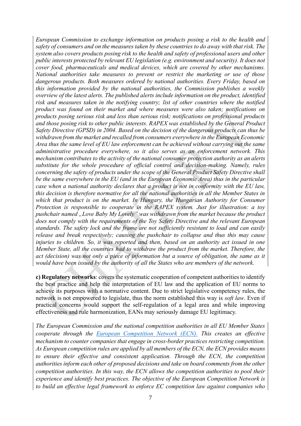*European Commission to exchange information on products posing a risk to the health and safety of consumers and on the measures taken by these countries to do away with that risk. The system also covers products posing risk to the health and safety of professional users and other public interests protected by relevant EU legislation (e.g. environment and security). It does not cover food, pharmaceuticals and medical devices, which are covered by other mechanisms. National authorities take measures to prevent or restrict the marketing or use of those dangerous products. Both measures ordered by national authorities. Every Friday, based on this information provided by the national authorities, the Commission publishes a weekly overview of the latest alerts. The published alerts include information on the product, identified risk and measures taken in the notifying country; list of other countries where the notified product was found on their market and where measures were also taken; notifications on products posing serious risk and less than serious risk; notifications on professional products and those posing risk to other public interests. RAPEX was established by the General Product Safety Directive (GPSD) in 2004. Based on the decision of the dangerous products can thus be withdrawn from the market and recalled from consumers everywhere in the European Economic Area thus the same level of EU law enforcement can be achieved without carrying out the same administrative procedure everywhere, so it also serves as an enforcement network. This mechanism contributes to the activity of the national consumer protection authority as an alerts substitute for the whole procedure of official control and decision-making. Namely, rules concerning the safety of products under the scope of the General Product Safety Directive shall be the same everywhere in the EU (and in the European Economic Area) thus in the particular case when a national authority declares that a product is not in conformity with the EU law, this decision is therefore normative for all the national authorities in all the Member States in*  which that product is on the market. In Hungary, the Hungarian Authority for Consumer *Protection is responsible to cooperate in the RAPEX system. Just for illustration: a toy pushchair named "Love Baby My Lovely" was withdrawn from the market because the product does not comply with the requirements of the Toy Safety Directive and the relevant European standards. The safety lock and the frame are not sufficiently resistant to load and can easily release and break respectively; causing the pushchair to collapse and thus this may cause injuries to children. So, it was reported and then, based on an authority act issued in one Member State, all the countries had to withdraw the product from the market. Therefore, the act (decision) was not only a piece of information but a source of obligation, the same as it would have been issued by the authority of all the States who are members of the network.* 

**c) Regulatory networks**: covers the systematic cooperation of competent authorities to identify the best practice and help the interpretation of EU law and the application of EU norms to achieve its purposes with a normative content. Due to strict legislative competency rules, the network is not empowered to legislate, thus the norm established this way is *soft law*. Even if practical concerns would support the self-regulation of a legal area and while improving effectiveness and rule harmonization, EANs may seriously damage EU legitimacy.

*The European Commission and the national competition authorities in all EU Member States cooperate through the [European Competition Network \(ECN\).](http://ec.europa.eu/competition/ecn/index_en.html) This creates an effective mechanism to counter companies that engage in cross-border practices restricting competition. As European competition rules are applied by all members of the ECN, the ECN provides means to ensure their effective and consistent application. Through the ECN, the competition authorities inform each other of proposed decisions and take on board comments from the other competition authorities. In this way, the ECN allows the competition authorities to pool their experience and identify best practices. The objective of the European Competition Network is to build an effective legal framework to enforce EC competition law against companies who*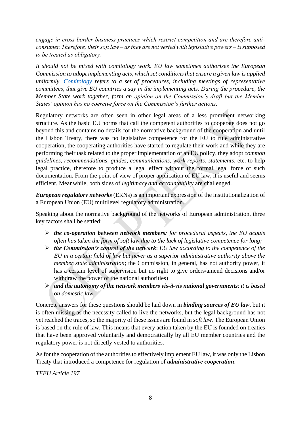*engage in cross-border business practices which restrict competition and are therefore anticonsumer. Therefore, their soft law – as they are not vested with legislative powers – is supposed to be treated as obligatory.*

*It should not be mixed with comitology work. EU law sometimes authorises the European Commission to adopt implementing acts, which set conditions that ensure a given law is applied uniformly. [Comitology](https://ec.europa.eu/info/implementing-and-delegated-acts/comitology_en) refers to a set of procedures, including meetings of representative committees, that give EU countries a say in the implementing acts. During the procedure, the Member State work together, form an opinion on the Commission's draft but the Member States' opinion has no coercive force on the Commission's further actions.* 

Regulatory networks are often seen in other legal areas of a less prominent networking structure. As the basic EU norms that call the competent authorities to cooperate does not go beyond this and contains no details for the normative background of the cooperation and until the Lisbon Treaty, there was no legislative competence for the EU to rule administrative cooperation, the cooperating authorities have started to regulate their work and while they are performing their task related to the proper implementation of an EU policy, they adopt *common guidelines, recommendations, guides, communications, work reports*, *statements,* etc. to help legal practice, therefore to produce a legal effect without the formal legal force of such documentation. From the point of view of proper application of EU law, it is useful and seems efficient. Meanwhile, both sides of *legitimacy and accountability* are challenged.

*European regulatory networks* (ERNs) is an important expression of the institutionalization of a European Union (EU) multilevel regulatory administration.

Speaking about the normative background of the networks of European administration, three key factors shall be settled:

- ➢ *the co-operation between network members: for procedural aspects, the EU acquis often has taken the form of soft law due to the lack of legislative competence for long;*
- ➢ *the Commission's control of the network*: *EU law according to the competence of the EU in a certain field of law but never as a superior administrative authority above the member state administration*; the Commission, in general, has not authority power, it has a certain level of supervision but no right to give orders/amend decisions and/or withdraw the power of the national authorities)
- ➢ *and the autonomy of the network members vis-à-vis national governments*: *it is based on domestic law.*

Concrete answers for these questions should be laid down in *binding sources of EU law*, but it is often missing as the necessity called to live the networks, but the legal background has not yet reached the traces, so the majority of these issues are found in *soft law*. The European Union is based on the rule of law. This means that every action taken by the EU is founded on treaties that have been approved voluntarily and democratically by all EU member countries and the regulatory power is not directly vested to authorities.

As for the cooperation of the authorities to effectively implement EU law, it was only the Lisbon Treaty that introduced a competence for regulation of *administrative cooperation*.

*TFEU Article 197*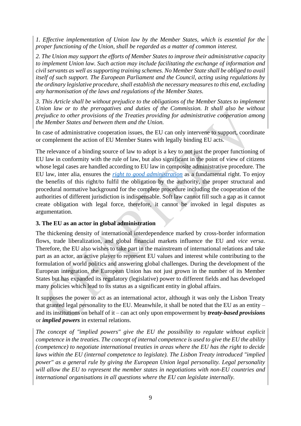*1. Effective implementation of Union law by the Member States, which is essential for the proper functioning of the Union, shall be regarded as a matter of common interest.*

*2. The Union may support the efforts of Member States to improve their administrative capacity to implement Union law. Such action may include facilitating the exchange of information and civil servants as well as supporting training schemes. No Member State shall be obliged to avail itself of such support. The European Parliament and the Council, acting using regulations by the ordinary legislative procedure, shall establish the necessary measures to this end, excluding any harmonisation of the laws and regulations of the Member States.*

*3. This Article shall be without prejudice to the obligations of the Member States to implement Union law or to the prerogatives and duties of the Commission. It shall also be without prejudice to other provisions of the Treaties providing for administrative cooperation among the Member States and between them and the Union.*

In case of administrative cooperation issues, the EU can only intervene to support, coordinate or complement the action of EU Member States with legally binding EU acts.

The relevance of a binding source of law to adopt is a key to not just the proper functioning of EU law in conformity with the rule of law, but also significant in the point of view of citizens whose legal cases are handled according to EU law in composite administrative procedure. The EU law, inter alia, ensures the *[right to good administration](https://fra.europa.eu/en/charterpedia/article/41-right-good-administration)* as a fundamental right. To enjoy the benefits of this right/to fulfil the obligation by the authority, the proper structural and procedural normative background for the complete procedure including the cooperation of the authorities of different jurisdiction is indispensable. Soft law cannot fill such a gap as it cannot create obligation with legal force, therefore, it cannot be invoked in legal disputes as argumentation.

#### <span id="page-9-0"></span>**3. The EU as an actor in global administration**

The thickening density of international interdependence marked by cross-border information flows, trade liberalization, and global financial markets influence the EU and *vice versa*. Therefore, the EU also wishes to take part in the mainstream of international relations and take part as an actor, an active player to represent EU values and interest while contributing to the formulation of world politics and answering global challenges. During the development of the European integration, the European Union has not just grown in the number of its Member States but has expanded its regulatory (legislative) power to different fields and has developed many policies which lead to its status as a significant entity in global affairs.

It supposes the power to act as an international actor, although it was only the Lisbon Treaty that granted legal personality to the EU. Meanwhile, it shall be noted that the EU as an entity – and its institutions on behalf of it – can act only upon empowerment by *treaty-based provisions* or *implied powers* in external relations.

*The concept of "implied powers" give the EU the possibility to regulate without explicit competence in the treaties. The concept of internal competence is used to give the EU the ability (competence) to negotiate international treaties in areas where the EU has the right to decide laws within the EU (internal competence to legislate). The Lisbon Treaty introduced "implied power" as a general rule by giving the European Union legal personality. Legal personality will allow the EU to represent the member states in negotiations with non-EU countries and international organisations in all questions where the EU can legislate internally.*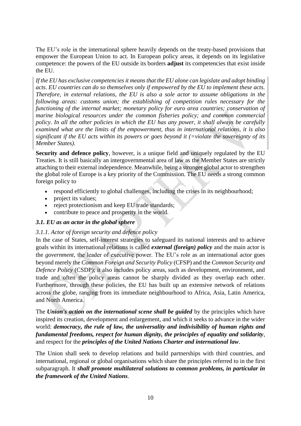The EU's role in the international sphere heavily depends on the treaty-based provisions that empower the European Union to act. In European policy areas, it depends on its legislative competence: the powers of the EU outside its borders **adjust** its competencies that exist inside the EU.

*If the EU has exclusive competencies it means that the EU alone can legislate and adopt binding acts. EU countries can do so themselves only if empowered by the EU to implement these acts. Therefore, in external relations, the EU is also a sole actor to assume obligations in the following areas: customs union; the establishing of competition rules necessary for the functioning of the internal market; monetary policy for euro area countries; conservation of marine biological resources under the common fisheries policy; and common commercial policy. In all the other policies in which the EU has any power, it shall always be carefully examined what are the limits of the empowerment, thus in international relations, it is also significant if the EU acts within its powers or goes beyond it (=violate the sovereignty of its Member States).*

**Security and defence policy**, however, is a unique field and uniquely regulated by the EU Treaties. It is still basically an intergovernmental area of law as the Member States are strictly attaching to their external independence. Meanwhile, being a stronger global actor to strengthen the global role of Europe is a key priority of the Commission. The EU needs a strong common foreign policy to

- respond efficiently to global challenges, including the crises in its neighbourhood;
- project its values;
- reject protectionism and keep EU trade standards;
- contribute to peace and prosperity in the world.

#### <span id="page-10-0"></span>*3.1. EU as an actor in the global sphere*

#### <span id="page-10-1"></span>*3.1.1. Actor of foreign security and defence policy*

In the case of States, self-interest strategies to safeguard its national interests and to achieve goals within its international relations is called *external (foreign) policy* and the main actor is the *government*, the leader of executive power. The EU's role as an international actor goes beyond merely the *Common Foreign and Security Policy* (CFSP) and the *Common Security and Defence Policy* (CSDP); it also includes policy areas, such as development, environment, and trade and often the policy areas cannot be sharply divided as they overlap each other. Furthermore, through these policies, the EU has built up an extensive network of relations across the globe, ranging from its immediate neighbourhood to Africa, Asia, Latin America, and North America.

The *Union's action on the international scene shall be guided* by the principles which have inspired its creation, development and enlargement, and which it seeks to advance in the wider world: *democracy, the rule of law, the universality and indivisibility of human rights and fundamental freedoms, respect for human dignity, the principles of equality and solidarity*, and respect for the *principles of the United Nations Charter and international law*.

The Union shall seek to develop relations and build partnerships with third countries, and international, regional or global organisations which share the principles referred to in the first subparagraph. It *shall promote multilateral solutions to common problems, in particular in the framework of the United Nations*.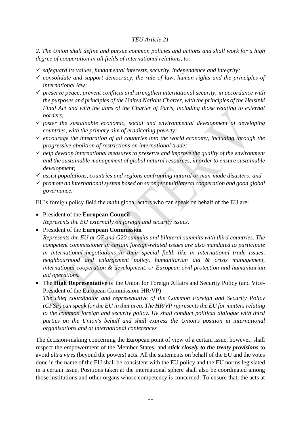#### *TEU Article 21*

*2. The Union shall define and pursue common policies and actions and shall work for a high degree of cooperation in all fields of international relations, to:*

- ✓ *safeguard its values, fundamental interests, security, independence and integrity;*
- ✓ *consolidate and support democracy, the rule of law, human rights and the principles of international law;*
- ✓ *preserve peace, prevent conflicts and strengthen international security, in accordance with the purposes and principles of the United Nations Charter, with the principles of the Helsinki Final Act and with the aims of the Charter of Paris, including those relating to external borders;*
- ✓ *foster the sustainable economic, social and environmental development of developing countries, with the primary aim of eradicating poverty;*
- ✓ *encourage the integration of all countries into the world economy, including through the progressive abolition of restrictions on international trade;*
- ✓ *help develop international measures to preserve and improve the quality of the environment and the sustainable management of global natural resources, in order to ensure sustainable development;*
- ✓ *assist populations, countries and regions confronting natural or man-made disasters; and*
- ✓ *promote an international system based on stronger multilateral cooperation and good global governance.*

EU's foreign policy field the *main* global actors who can speak on behalf of the EU are:

- President of the **European Council** *Represents the EU externally on foreign and security issues.*
- President of the **European Commission**

*Represents the EU at G7 and G20 summits and bilateral summits with third countries. The competent commissioner in certain foreign-related issues are also mandated to participate in international negotiations in their special field, like in international trade issues, neighbourhood and enlargement policy, humanitarian aid & crisis management, international cooperation & development, or European civil protection and humanitarian aid operations.*

• The **High Representative** of the Union for Foreign Affairs and Security Policy (and Vice-President of the European Commission; HR/VP)

*The chief coordinator and representative of the Common Foreign and Security Policy (CFSP) can speak for the EU in that area. The HR/VP represents the EU for matters relating to the common foreign and security policy. He shall conduct political dialogue with third parties on the Union's behalf and shall express the Union's position in international organisations and at international conferences*

The decision-making concerning the European point of view of a certain issue, however, shall respect the empowerment of the Member States, and *stick closely to the treaty provisions* to avoid *ultra vires* (beyond the powers) acts. All the statements on behalf of the EU and the votes done in the name of the EU shall be consistent with the EU policy and the EU norms legislated in a certain issue. Positions taken at the international sphere shall also be coordinated among those institutions and other organs whose competency is concerned. To ensure that, the acts at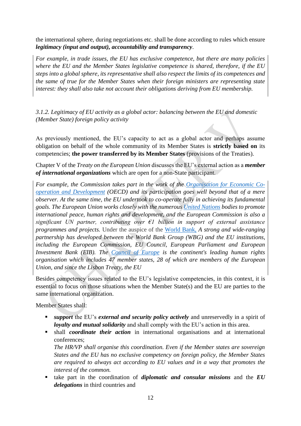the international sphere, during negotiations etc. shall be done according to rules which ensure *legitimacy (input and output), accountability and transparency*.

*For example, in trade issues, the EU has exclusive competence, but there are many policies where the EU and the Member States legislative competence is shared, therefore, if the EU steps into a global sphere, its representative shall also respect the limits of its competences and the same of true for the Member States when their foreign ministers are representing state interest: they shall also take not account their obligations deriving from EU membership.*

<span id="page-12-0"></span>*3.1.2. Legitimacy of EU activity as a global actor: balancing between the EU and domestic (Member State) foreign policy activity*

As previously mentioned, the EU's capacity to act as a global actor and perhaps assume obligation on behalf of the whole community of its Member States is **strictly based on** its competencies; **the power transferred by its Member States** (provisions of the Treaties).

Chapter V of the *Treaty on the European Union* discusses the EU's external action as a *member of international organizations* which are open for a non-State participant.

*For example, the Commission takes part in the work of the [Organisation for Economic Co](https://www.oecd.org/eu/european-union-and-oecd.htm)[operation and Development](https://www.oecd.org/eu/european-union-and-oecd.htm) (OECD) and its participation goes well beyond that of a mere observer. At the same time, the EU undertook to co-operate fully in achieving its fundamental goals. The European Union works closely with the numerous [United Nations](https://eeas.europa.eu/delegations/un-new-york/33807/eu-un_en) bodies to promote international peace, human rights and development, and the European Commission is also a significant UN partner, contributing over €1 billion in support of external assistance programmes and projects.* Under the auspice of the [World Bank,](http://web.worldbank.org/WBSITE/EXTERNAL/EXTABOUTUS/PARTNERS/WBEU/0,,contentMDK:22924761~menuPK:7952425~pagePK:64137114~piPK:64136911~theSitePK:380823,00.html) *A strong and wide-ranging partnership has developed between the World Bank Group (WBG) and the EU institutions, including the European Commission, EU Council, European Parliament and European Investment Bank (EIB). The [Council of Europe](https://www.coe.int/en/web/der/european-union) is the continent's leading human rights organisation which includes 47 member states, 28 of which are members of the European Union, and since the Lisbon Treaty, the EU* 

Besides competency issues related to the EU's legislative competencies, in this context, it is essential to focus on those situations when the Member State(s) and the EU are parties to the same international organization.

Member States shall:

- *support* the EU's *external and security policy actively* and unreservedly in a spirit of *loyalty and mutual solidarity* and shall comply with the EU's action in this area.
- shall *coordinate their action* in international organisations and at international conferences;

*The HR/VP shall organise this coordination. Even if the Member states are sovereign States and the EU has no exclusive competency on foreign policy, the Member States are required to always act according to EU values and in a way that promotes the interest of the common.*

▪ take part in the coordination of *diplomatic and consular missions* and the *EU delegations* in third countries and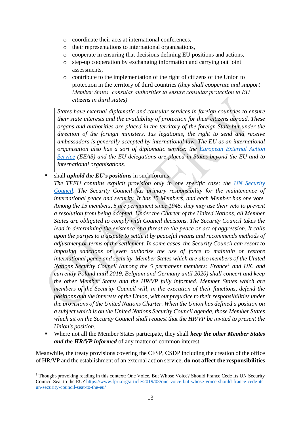- o coordinate their acts at international conferences,
- o their representations to international organisations,
- o cooperate in ensuring that decisions defining EU positions and actions,
- o step-up cooperation by exchanging information and carrying out joint assessments,
- o contribute to the implementation of the right of citizens of the Union to protection in the territory of third countries *(they shall cooperate and support Member States' consular authorities to ensure consular protection to EU citizens in third states)*

*States have external diplomatic and consular services in foreign countries to ensure their state interests and the availability of protection for their citizens abroad. These organs and authorities are placed in the territory of the foreign State but under the direction of the foreign ministers. Ius legationis, the right to send and receive ambassadors is generally accepted by international law. The EU as an international organisation also has a sort of diplomatic service: the [European External Action](https://eeas.europa.eu/headquarters/headquarters-homepage/82/about-european-external-action-service-eeas_en)  [Service](https://eeas.europa.eu/headquarters/headquarters-homepage/82/about-european-external-action-service-eeas_en) (EEAS) and the EU delegations are placed in States beyond the EU and to international organisations.* 

- shall *uphold the EU's positions* in such forums;
	- *The TFEU contains explicit provision only in one specific case: the UN Security [Council.](https://www.un.org/securitycouncil/content/functions-and-powers) The Security Council has primary responsibility for the maintenance of international peace and security. It has 15 Members, and each Member has one vote. Among the 15 members, 5 are permanent since 1945: they may use their veto to prevent a resolution from being adopted. Under the Charter of the United Nations, all Member States are obligated to comply with Council decisions. The Security Council takes the lead in determining the existence of a threat to the peace or act of aggression. It calls upon the parties to a dispute to settle it by peaceful means and recommends methods of adjustment or terms of the settlement. In some cases, the Security Council can resort to imposing sanctions or even authorize the use of force to maintain or restore international peace and security. Member States which are also members of the United Nations Security Council (among the 5 permanent members: France<sup>1</sup> and UK, and currently Poland until 2019, Belgium and Germany until 2020) shall concert and keep the other Member States and the HR/VP fully informed. Member States which are members of the Security Council will, in the execution of their functions, defend the positions and the interests of the Union, without prejudice to their responsibilities under the provisions of the United Nations Charter. When the Union has defined a position on a subject which is on the United Nations Security Council agenda, those Member States which sit on the Security Council shall request that the HR/VP be invited to present the Union's position.*
- Where not all the Member States participate, they shall *keep the other Member States and the HR/VP informed* of any matter of common interest.

Meanwhile, the treaty provisions covering the CFSP, CSDP including the creation of the office of HR/VP and the establishment of an external action service, **do not affect the responsibilities** 

<sup>&</sup>lt;sup>1</sup> Thought-provoking reading in this context: One Voice, But Whose Voice? Should France Cede Its UN Security Council Seat to the EU? [https://www.fpri.org/article/2019/03/one-voice-but-whose-voice-should-france-cede-its](https://www.fpri.org/article/2019/03/one-voice-but-whose-voice-should-france-cede-its-un-security-council-seat-to-the-eu/)[un-security-council-seat-to-the-eu/](https://www.fpri.org/article/2019/03/one-voice-but-whose-voice-should-france-cede-its-un-security-council-seat-to-the-eu/)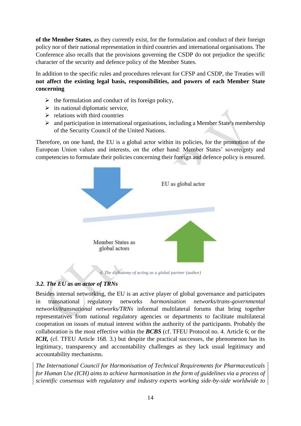**of the Member States**, as they currently exist, for the formulation and conduct of their foreign policy nor of their national representation in third countries and international organisations. The Conference also recalls that the provisions governing the CSDP do not prejudice the specific character of the security and defence policy of the Member States.

In addition to the specific rules and procedures relevant for CFSP and CSDP, the Treaties will **not affect the existing legal basis, responsibilities, and powers of each Member State concerning**

- $\triangleright$  the formulation and conduct of its foreign policy,
- $\triangleright$  its national diplomatic service,
- $\triangleright$  relations with third countries
- ➢ and participation in international organisations, including a Member State's membership of the Security Council of the United Nations.

Therefore, on one hand, the EU is a global actor within its policies, for the promotion of the European Union values and interests, on the other hand: Member States' sovereignty and competencies to formulate their policies concerning their foreign and defence policy is ensured.



# <span id="page-14-0"></span>*3.2. The EU as an actor of TRNs*

Besides internal networking, the EU is an active player of global governance and participates in transnational regulatory networks *harmonisation networks/trans-governmental networks/transnational networks/TRNs* informal multilateral forums that bring together representatives from national regulatory agencies or departments to facilitate multilateral cooperation on issues of mutual interest within the authority of the participants. Probably the collaboration is the most effective within the *BCBS* (cf. TFEU Protocol no. 4. Article 6; or the *ICH*, (cf. TFEU Article 168. 3.) but despite the practical successes, the phenomenon has its legitimacy, transparency and accountability challenges as they lack usual legitimacy and accountability mechanisms.

*The International Council for Harmonisation of Technical Requirements for Pharmaceuticals for Human Use (ICH) aims to achieve harmonisation in the form of guidelines via a process of scientific consensus with regulatory and industry experts working side-by-side worldwide to*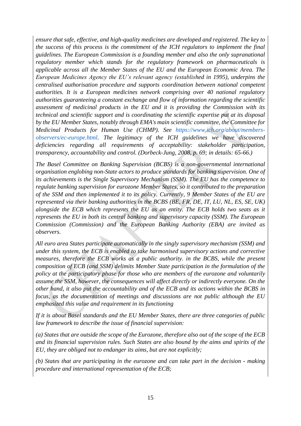*ensure that safe, effective, and high-quality medicines are developed and registered. The key to the success of this process is the commitment of the ICH regulators to implement the final guidelines. The European Commission is a founding member and also the only supranational regulatory member which stands for the regulatory framework on pharmaceuticals is applicable across all the Member States of the EU and the European Economic Area. The European Medicines Agency the EU's relevant agency (established in 1995), underpins the centralised authorisation procedure and supports coordination between national competent authorities. It is a European medicines network comprising over 40 national regulatory authorities guaranteeing a constant exchange and flow of information regarding the scientific assessment of medicinal products in the EU and it is providing the Commission with its technical and scientific support and is coordinating the scientific expertise put at its disposal by the EU Member States, notably through EMA's main scientific committee, the Committee for Medicinal Products for Human Use (CHMP). See [https://www.ich.org/about/members](https://www.ich.org/about/members-observers/ec-europe.html)[observers/ec-europe.html.](https://www.ich.org/about/members-observers/ec-europe.html) The legitimacy of the ICH guidelines we have discovered deficiencies regarding all requirements of acceptability: stakeholder participation, transparency, accountability and control. (Dorbeck-Jung, 2008, p. 69; in details: 65-66.)*

*The Basel Committee on Banking Supervision (BCBS) is a non-governmental international organisation englobing non-State actors to produce standards for banking supervision. One of its achievements is the Single Supervisory Mechanism (SSM). The EU has the competence to regulate banking supervision for eurozone Member States, so it contributed to the preparation of the SSM and then implemented it to its policy. Currently, 9 Member States of the EU are represented via their banking authorities in the BCBS (BE, FR, DE, IT, LU, NL, ES, SE, UK) alongside the ECB which represents the EU as an entity. The ECB holds two seats as it represents the EU in both its central banking and supervisory capacity (SSM). The European Commission (Commission) and the European Banking Authority (EBA) are invited as observers.*

*All euro area States participate automatically in the singly supervisory mechanism (SSM) and under this system, the ECB is enabled to take harmonised supervisory actions and corrective measures, therefore the ECB works as a public authority. in the BCBS, while the present composition of ECB (and SSM) delimits Member State participation in the formulation of the policy at the participatory phase for those who are members of the eurozone and voluntarily assume the SSM, however, the consequences will affect directly or indirectly everyone. On the other hand, it also put the accountability and of the ECB and its actions within the BCBS in focus, as the documentation of meetings and discussions are not public although the EU emphasized this value and requirement in its functioning*

*If it is about Basel standards and the EU Member States, there are three categories of public law framework to describe the issue of financial supervision:*

*(a) States that are outside the scope of the Eurozone, therefore also out of the scope of the ECB and its financial supervision rules. Such States are also bound by the aims and spirits of the EU, they are obliged not to endanger its aims, but are not explicitly;*

*(b) States that are participating in the eurozone and can take part in the decision - making procedure and international representation of the ECB;*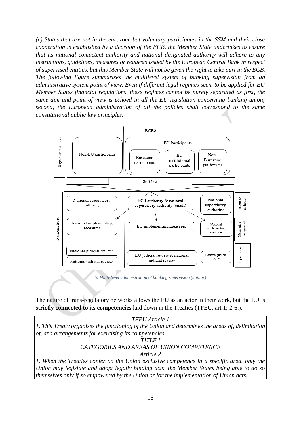*(c) States that are not in the eurozone but voluntary participates in the SSM and their close cooperation is established by a decision of the ECB, the Member State undertakes to ensure that its national competent authority and national designated authority will adhere to any instructions, guidelines, measures or requests issued by the European Central Bank in respect of supervised entities, but this Member State will not be given the right to take part in the ECB. The following figure summarises the multilevel system of banking supervision from an administrative system point of view. Even if different legal regimes seem to be applied for EU Member States financial regulations, these regimes cannot be purely separated as first, the same aim and point of view is echoed in all the EU legislation concerning banking union; second, the European administration of all the policies shall correspond to the same constitutional public law principles.* 



*5. Multi-level administration of banking supervision (author)*

The nature of trans-regulatory networks allows the EU as an actor in their work, but the EU is **strictly connected to its competencies** laid down in the Treaties (TFEU, art.1; 2-6.).

#### *TFEU Article 1*

*1. This Treaty organises the functioning of the Union and determines the areas of, delimitation of, and arrangements for exercising its competencies.*

#### *TITLE I*

#### *CATEGORIES AND AREAS OF UNION COMPETENCE*

*Article 2*

*1. When the Treaties confer on the Union exclusive competence in a specific area, only the Union may legislate and adopt legally binding acts, the Member States being able to do so themselves only if so empowered by the Union or for the implementation of Union acts.*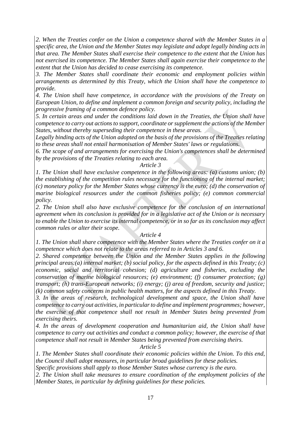*2. When the Treaties confer on the Union a competence shared with the Member States in a specific area, the Union and the Member States may legislate and adopt legally binding acts in that area. The Member States shall exercise their competence to the extent that the Union has not exercised its competence. The Member States shall again exercise their competence to the extent that the Union has decided to cease exercising its competence.*

*3. The Member States shall coordinate their economic and employment policies within arrangements as determined by this Treaty, which the Union shall have the competence to provide.*

*4. The Union shall have competence, in accordance with the provisions of the Treaty on European Union, to define and implement a common foreign and security policy, including the progressive framing of a common defence policy.*

*5. In certain areas and under the conditions laid down in the Treaties, the Union shall have competence to carry out actions to support, coordinate or supplement the actions of the Member States, without thereby superseding their competence in these areas.*

*Legally binding acts of the Union adopted on the basis of the provisions of the Treaties relating to these areas shall not entail harmonisation of Member States' laws or regulations.*

*6. The scope of and arrangements for exercising the Union's competences shall be determined by the provisions of the Treaties relating to each area.*

#### *Article 3*

*1. The Union shall have exclusive competence in the following areas: (a) customs union; (b) the establishing of the competition rules necessary for the functioning of the internal market; (c) monetary policy for the Member States whose currency is the euro; (d) the conservation of marine biological resources under the common fisheries policy; (e) common commercial policy.*

*2. The Union shall also have exclusive competence for the conclusion of an international agreement when its conclusion is provided for in a legislative act of the Union or is necessary to enable the Union to exercise its internal competence, or in so far as its conclusion may affect common rules or alter their scope.*

#### *Article 4*

*1. The Union shall share competence with the Member States where the Treaties confer on it a competence which does not relate to the areas referred to in Articles 3 and 6.*

*2. Shared competence between the Union and the Member States applies in the following principal areas:(a) internal market; (b) social policy, for the aspects defined in this Treaty; (c) economic, social and territorial cohesion; (d) agriculture and fisheries, excluding the conservation of marine biological resources; (e) environment; (f) consumer protection; (g) transport; (h) trans-European networks; (i) energy; (j) area of freedom, security and justice; (k) common safety concerns in public health matters, for the aspects defined in this Treaty.*

*3. In the areas of research, technological development and space, the Union shall have competence to carry out activities, in particular to define and implement programmes; however, the exercise of that competence shall not result in Member States being prevented from exercising theirs.*

*4. In the areas of development cooperation and humanitarian aid, the Union shall have competence to carry out activities and conduct a common policy; however, the exercise of that competence shall not result in Member States being prevented from exercising theirs.*

*Article 5*

*1. The Member States shall coordinate their economic policies within the Union. To this end, the Council shall adopt measures, in particular broad guidelines for these policies.*

*Specific provisions shall apply to those Member States whose currency is the euro.*

*2. The Union shall take measures to ensure coordination of the employment policies of the Member States, in particular by defining guidelines for these policies.*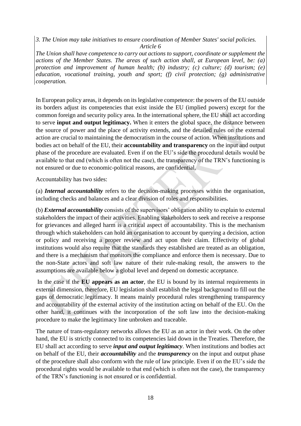*3. The Union may take initiatives to ensure coordination of Member States' social policies. Article 6*

*The Union shall have competence to carry out actions to support, coordinate or supplement the actions of the Member States. The areas of such action shall, at European level, be: (a) protection and improvement of human health; (b) industry; (c) culture; (d) tourism; (e) education, vocational training, youth and sport; (f) civil protection; (g) administrative cooperation.*

In European policy areas, it depends on its legislative competence: the powers of the EU outside its borders adjust its competencies that exist inside the EU (implied powers) except for the common foreign and security policy area. In the international sphere, the EU shall act according to serve **input and output legitimacy.** When it enters the global space, the distance between the source of power and the place of activity extends, and the detailed rules on the external action are crucial to maintaining the democratism in the course of action. When institutions and bodies act on behalf of the EU, their **accountability and transparency** on the input and output phase of the procedure are evaluated. Even if on the EU's side the procedural details would be available to that end (which is often not the case), the transparency of the TRN's functioning is not ensured or due to economic-political reasons, are confidential.

Accountability has two sides:

(a) *Internal accountability* refers to the decision-making processes within the organisation, including checks and balances and a clear division of roles and responsibilities.

(b) *External accountability* consists of the supervisors' obligation ability to explain to external stakeholders the impact of their activities. Enabling stakeholders to seek and receive a response for grievances and alleged harm is a critical aspect of accountability. This is the mechanism through which stakeholders can hold an organisation to account by querying a decision, action or policy and receiving a proper review and act upon their claim. Effectivity of global institutions would also require that the standards they established are treated as an obligation, and there is a mechanism that monitors the compliance and enforce them is necessary. Due to the non-State actors and soft law nature of their rule-making result, the answers to the assumptions are available below a global level and depend on domestic acceptance.

In the case if the **EU appears as an actor**, the EU is bound by its internal requirements in external dimension, therefore, EU legislation shall establish the legal background to fill out the gaps of democratic legitimacy. It means mainly procedural rules strengthening transparency and accountability of the external activity of the institution acting on behalf of the EU. On the other hand, it continues with the incorporation of the soft law into the decision-making procedure to make the legitimacy line unbroken and traceable.

The nature of trans-regulatory networks allows the EU as an actor in their work. On the other hand, the EU is strictly connected to its competencies laid down in the Treaties. Therefore, the EU shall act according to serve *input and output legitimacy*. When institutions and bodies act on behalf of the EU, their *accountability* and the *transparency* on the input and output phase of the procedure shall also conform with the rule of law principle. Even if on the EU's side the procedural rights would be available to that end (which is often not the case), the transparency of the TRN's functioning is not ensured or is confidential.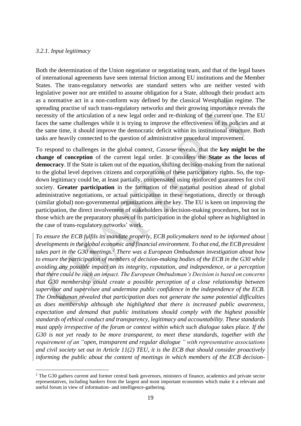#### <span id="page-19-0"></span>*3.2.1. Input legitimacy*

Both the determination of the Union negotiator or negotiating team, and that of the legal bases of international agreements have seen internal friction among EU institutions and the Member States. The trans-regulatory networks are standard setters who are neither vested with legislative power nor are entitled to assume obligation for a State, although their product acts as a normative act in a non-conform way defined by the classical Westphalian regime. The spreading practise of such trans-regulatory networks and their growing importance reveals the necessity of the articulation of a new legal order and re-thinking of the current one. The EU faces the same challenges while it is trying to improve the effectiveness of its policies and at the same time, it should improve the democratic deficit within its institutional structure. Both tasks are heavily connected to the question of administrative procedural improvement.

To respond to challenges in the global context, *Cassese* reveals, that the **key might be the change of conception** of the current legal order. It considers the **State as the locus of democracy**. If the State is taken out of the equation, shifting decision-making from the national to the global level deprives citizens and corporations of these participatory rights. So, the topdown legitimacy could be, at least partially, compensated using reinforced guarantees for civil society. **Greater participation** in the formation of the national position ahead of global administrative negotiations, or actual participation in these negotiations, directly or through (similar global) non-governmental organizations are the key. The EU is keen on improving the participation, the direct involvement of stakeholders in decision-making procedures, but not in those which are the preparatory phases of its participation in the global sphere as highlighted in the case of trans-regulatory networks' work.

*To ensure the ECB fulfils its mandate properly, ECB policymakers need to be informed about developments in the global economic and financial environment. To that end, the ECB president takes part in the G30 meetings.<sup>2</sup> There was a European Ombudsman investigation about how to ensure the participation of members of decision-making bodies of the ECB in the G30 while avoiding any possible impact on its integrity, reputation, and independence, or a perception that there could be such an impact. The European Ombudsman's Decision is based on concerns that G30 membership could create a possible perception of a close relationship between supervisor and supervisee and undermine public confidence in the independence of the ECB. The Ombudsman revealed that participation does not generate the same potential difficulties as does membership although she highlighted that there is increased public awareness, expectation and demand that public institutions should comply with the highest possible standards of ethical conduct and transparency, legitimacy and accountability. These standards must apply irrespective of the forum or context within which such dialogue takes place. If the G30 is not yet ready to be more transparent, to meet these standards, together with the requirement of an "open, transparent and regular dialogue " with representative associations and civil society set out in Article 11(2) TEU, it is the ECB that should consider proactively informing the public about the content of meetings in which members of the ECB decision-*

<sup>&</sup>lt;sup>2</sup> The G30 gathers current and former central bank governors, ministers of finance, academics and private sector representatives, including bankers from the largest and most important economies which make it a relevant and useful forum in view of information- and intelligence-gathering.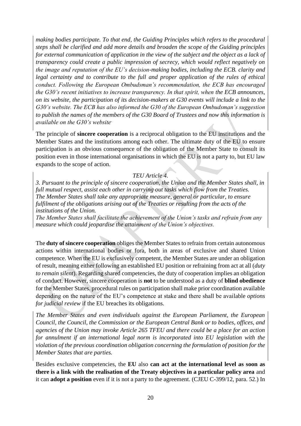*making bodies participate. To that end, the Guiding Principles which refers to the procedural steps shall be clarified and add more details and broaden the scope of the Guiding principles for external communication of application in the view of the subject and the object as a lack of transparency could create a public impression of secrecy, which would reflect negatively on the image and reputation of the EU's decision-making bodies, including the ECB. clarity and legal certainty and to contribute to the full and proper application of the rules of ethical conduct. Following the European Ombudsman's recommendation, the ECB has encouraged the G30's recent initiatives to increase transparency. In that spirit, when the ECB announces, on its website, the participation of its decision-makers at G30 events will include a link to the G30's website. The ECB has also informed the G30 of the European Ombudsman's suggestion to publish the names of the members of the G30 Board of Trustees and now this information is available on the G30's website.*

The principle of **sincere cooperation** is a reciprocal obligation to the EU institutions and the Member States and the institutions among each other. The ultimate duty of the EU to ensure participation is an obvious consequence of the obligation of the Member State to consult its position even in those international organisations in which the EU is not a party to, but EU law expands to the scope of action.

## *TEU Article 4.*

*3. Pursuant to the principle of sincere cooperation, the Union and the Member States shall, in full mutual respect, assist each other in carrying out tasks which flow from the Treaties. The Member States shall take any appropriate measure, general or particular, to ensure fulfilment of the obligations arising out of the Treaties or resulting from the acts of the institutions of the Union.*

*The Member States shall facilitate the achievement of the Union's tasks and refrain from any measure which could jeopardise the attainment of the Union's objectives.*

The **duty of sincere cooperation** obliges the Member States to refrain from certain autonomous actions within international bodies or fora, both in areas of exclusive and shared Union competence. When the EU is exclusively competent, the Member States are under an obligation of result, meaning either following an established EU position or refraining from act at all (*duty to remain silent*). Regarding shared competencies, the duty of cooperation implies an obligation of conduct. However, sincere cooperation is **not** to be understood as a duty of **blind obedience** for the Member States. procedural rules on participation shall make prior coordination available depending on the nature of the EU's competence at stake and there shall be available *options for judicial review* if the EU breaches its obligations.

*The Member States and even individuals against the European Parliament, the European Council, the Council, the Commission or the European Central Bank or to bodies, offices, and agencies of the Union may invoke Article 265 TFEU and there could be a place for an action for annulment if an international legal norm is incorporated into EU legislation with the violation of the previous coordination obligation concerning the formulation of position for the Member States that are parties.*

Besides exclusive competencies, the **EU** also **can act at the international level as soon as there is a link with the realisation of the Treaty objectives in a particular policy area** and it can **adopt a position** even if it is not a party to the agreement. (CJEU C-399/12, para. 52.) In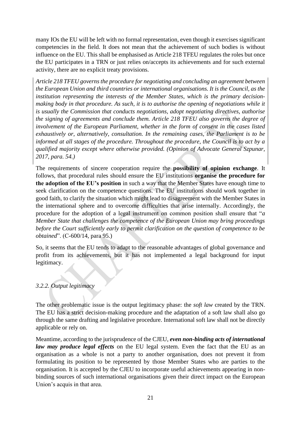many IOs the EU will be left with no formal representation, even though it exercises significant competencies in the field. It does not mean that the achievement of such bodies is without influence on the EU. This shall be emphasised as Article 218 TFEU regulates the roles but once the EU participates in a TRN or just relies on/accepts its achievements and for such external activity, there are no explicit treaty provisions.

*Article 218 TFEU governs the procedure for negotiating and concluding an agreement between the European Union and third countries or international organisations. It is the Council, as the institution representing the interests of the Member States, which is the primary decisionmaking body in that procedure. As such, it is to authorise the opening of negotiations while it is usually the Commission that conducts negotiations, adopt negotiating directives, authorise the signing of agreements and conclude them. Article 218 TFEU also governs the degree of involvement of the European Parliament, whether in the form of consent in the cases listed exhaustively or, alternatively, consultation. In the remaining cases, the Parliament is to be informed at all stages of the procedure. Throughout the procedure, the Council is to act by a qualified majority except where otherwise provided. (Opinion of Advocate General Szpunar, 2017, para. 54.)*

The requirements of sincere cooperation require the **possibility of opinion exchange**. It follows, that procedural rules should ensure the EU institutions **organise the procedure for the adoption of the EU's position** in such a way that the Member States have enough time to seek clarification on the competence questions. The EU institutions should work together in good faith, to clarify the situation which might lead to disagreement with the Member States in the international sphere and to overcome difficulties that arise internally. Accordingly, the procedure for the adoption of a legal instrument on common position shall ensure that "*a Member State that challenges the competence of the European Union may bring proceedings before the Court sufficiently early to permit clarification on the question of competence to be obtained*". (C-600/14, para 95.)

So, it seems that the EU tends to adapt to the reasonable advantages of global governance and profit from its achievements, but it has not implemented a legal background for input legitimacy.

# <span id="page-21-0"></span>*3.2.2. Output legitimacy*

The other problematic issue is the output legitimacy phase: the *soft law* created by the TRN. The EU has a strict decision-making procedure and the adaptation of a soft law shall also go through the same drafting and legislative procedure. International soft law shall not be directly applicable or rely on.

Meantime, according to the jurisprudence of the CJEU, *even non-binding acts of international law may produce legal effects* on the EU legal system. Even the fact that the EU as an organisation as a whole is not a party to another organisation, does not prevent it from formulating its position to be represented by those Member States who are parties to the organisation. It is accepted by the CJEU to incorporate useful achievements appearing in nonbinding sources of such international organisations given their direct impact on the European Union's acquis in that area.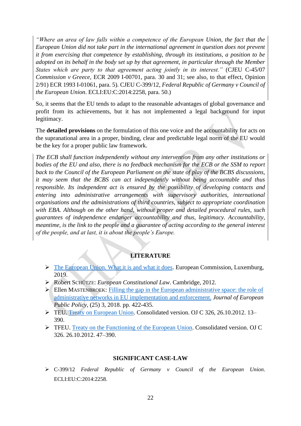*"Where an area of law falls within a competence of the European Union, the fact that the European Union did not take part in the international agreement in question does not prevent it from exercising that competence by establishing, through its institutions, a position to be adopted on its behalf in the body set up by that agreement, in particular through the Member States which are party to that agreement acting jointly in its interest."* (CJEU C-45/07 *Commission v Greece*, ECR 2009 I-00701, para. 30 and 31; see also, to that effect, Opinion 2/91) ECR 1993 I-01061, para. 5). CJEU C-399/12, *Federal Republic of Germany v Council of the European Union*. ECLI:EU:C:2014:2258, para. 50.)

So, it seems that the EU tends to adapt to the reasonable advantages of global governance and profit from its achievements, but it has not implemented a legal background for input legitimacy.

The **detailed provisions** on the formulation of this one voice and the accountability for acts on the supranational area in a proper, binding, clear and predictable legal norm of the EU would be the key for a proper public law framework.

*The ECB shall function independently without any intervention from any other institutions or bodies of the EU and also, there is no feedback mechanism for the ECB or the SSM to report back to the Council of the European Parliament on the state of play of the BCBS discussions, it may seem that the BCBS can act independently without being accountable and thus responsible. Its independent act is ensured by the possibility of developing contacts and entering into administrative arrangements with supervisory authorities, international organisations and the administrations of third countries, subject to appropriate coordination with EBA. Although on the other hand, without proper and detailed procedural rules, such guarantees of independence endanger accountability and thus, legitimacy. Accountability, meantime, is the link to the people and a guarantee of acting according to the general interest of the people, and at last, it is about the people's Europe.*

# **LITERATURE**

- ➢ [The European Union. What it is and what it does.](https://publications.europa.eu/en/publication-detail/-/publication/27bee15d-9ba9-11e9-9d01-01aa75ed71a1) European Commission, Luxemburg, 2019.
- ➢ Robert SCHÜTZE: *European Constitutional Law*. Cambridge, 2012.
- ➢ Ellen MASTENBROEK: [Filling the gap in the European administrative space: the role of](https://www.tandfonline.com/doi/full/10.1080/13501763.2017.1298147)  [administrative networks in EU implementation and enforcement.](https://www.tandfonline.com/doi/full/10.1080/13501763.2017.1298147) *Journal of European Public Policy*, (25) 3, 2018. pp. 422-435.
- ➢ TEU. [Treaty on European Union.](https://eur-lex.europa.eu/legal-content/EN/TXT/?uri=celex%3A12012M%2FTXT) Consolidated version. OJ C 326, 26.10.2012. 13– 390.
- ➢ TFEU. [Treaty on the Functioning of the European Union.](https://eur-lex.europa.eu/legal-content/EN/TXT/?uri=celex%3A12012E%2FTXT) Consolidated version. OJ C 326. 26.10.2012. 47–390.

#### **SIGNIFICANT CASE-LAW**

➢ C-399/12 *Federal Republic of Germany v Council of the European Union*. ECLI:EU:C:2014:2258.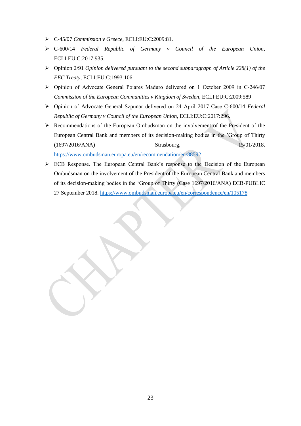- ➢ C-45/07 *Commission v Greece*, ECLI:EU:C:2009:81.
- ➢ C-600/14 *Federal Republic of Germany v Council of the European Union,*  ECLI:EU:C:2017:935.
- ➢ Opinion 2/91 *Opinion delivered pursuant to the second subparagraph of Article 228(1) of the EEC Treaty,* ECLI:EU:C:1993:106.
- ➢ Opinion of Advocate General Poiares Maduro delivered on 1 October 2009 in C‑246/07 *Commission of the European Communities v Kingdom of Sweden*, ECLI:EU:C:2009:589
- ➢ Opinion of Advocate General Szpunar delivered on 24 April 2017 Case C‑600/14 *Federal Republic of Germany v Council of the European Union,* ECLI:EU:C:2017:296.
- ➢ Recommendations of the European Ombudsman on the involvement of the President of the European Central Bank and members of its decision-making bodies in the 'Group of Thirty (1697/2016/ANA) Strasbourg, 15/01/2018. <https://www.ombudsman.europa.eu/en/recommendation/en/88592>
- ➢ ECB Response. The European Central Bank's response to the Decision of the European Ombudsman on the involvement of the President of the European Central Bank and members of its decision-making bodies in the 'Group of Thirty (Case 1697/2016/ANA) ECB-PUBLIC 27 September 2018.<https://www.ombudsman.europa.eu/en/correspondence/en/105178>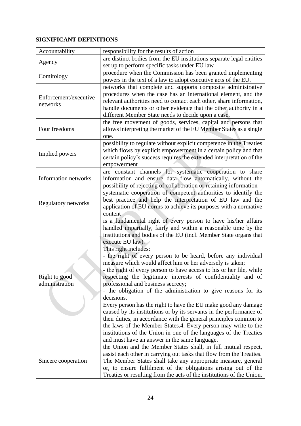# **SIGNIFICANT DEFINITIONS**

| Accountability              | responsibility for the results of action                                                                                                 |
|-----------------------------|------------------------------------------------------------------------------------------------------------------------------------------|
| Agency                      | are distinct bodies from the EU institutions separate legal entities                                                                     |
|                             | set up to perform specific tasks under EU law                                                                                            |
| Comitology                  | procedure when the Commission has been granted implementing                                                                              |
|                             | powers in the text of a law to adopt executive acts of the EU.                                                                           |
|                             | networks that complete and supports composite administrative<br>procedures when the case has an international element, and the           |
| Enforcement/executive       | relevant authorities need to contact each other, share information,                                                                      |
| networks                    | handle documents or other evidence that the other authority in a                                                                         |
|                             | different Member State needs to decide upon a case.                                                                                      |
|                             | the free movement of goods, services, capital and persons that                                                                           |
| Four freedoms               | allows interpreting the market of the EU Member States as a single                                                                       |
|                             | one.                                                                                                                                     |
|                             | possibility to regulate without explicit competence in the Treaties                                                                      |
| Implied powers              | which flows by explicit empowerment in a certain policy and that                                                                         |
|                             | certain policy's success requires the extended interpretation of the                                                                     |
|                             | empowerment                                                                                                                              |
|                             | are constant channels for systematic cooperation to share                                                                                |
| <b>Information networks</b> | information and ensure data flow automatically, without the                                                                              |
|                             | possibility of rejecting of collaboration or retaining information                                                                       |
|                             | systematic cooperation of competent authorities to identify the                                                                          |
| <b>Regulatory networks</b>  | best practice and help the interpretation of EU law and the                                                                              |
|                             | application of EU norms to achieve its purposes with a normative<br>content.                                                             |
|                             | is a fundamental right of every person to have his/her affairs                                                                           |
|                             | handled impartially, fairly and within a reasonable time by the                                                                          |
|                             | institutions and bodies of the EU (incl. Member State organs that                                                                        |
|                             | execute EU law).                                                                                                                         |
|                             | This right includes:                                                                                                                     |
|                             | - the right of every person to be heard, before any individual                                                                           |
|                             | measure which would affect him or her adversely is taken;                                                                                |
|                             | - the right of every person to have access to his or her file, while                                                                     |
| Right to good               | respecting the legitimate interests of confidentiality and of                                                                            |
| administration              | professional and business secrecy;                                                                                                       |
|                             | - the obligation of the administration to give reasons for its                                                                           |
|                             | decisions.                                                                                                                               |
|                             | Every person has the right to have the EU make good any damage                                                                           |
|                             | caused by its institutions or by its servants in the performance of<br>their duties, in accordance with the general principles common to |
|                             | the laws of the Member States.4. Every person may write to the                                                                           |
|                             | institutions of the Union in one of the languages of the Treaties                                                                        |
|                             | and must have an answer in the same language.                                                                                            |
|                             | the Union and the Member States shall, in full mutual respect,                                                                           |
|                             | assist each other in carrying out tasks that flow from the Treaties.                                                                     |
| Sincere cooperation         | The Member States shall take any appropriate measure, general                                                                            |
|                             | or, to ensure fulfilment of the obligations arising out of the                                                                           |
|                             | Treaties or resulting from the acts of the institutions of the Union.                                                                    |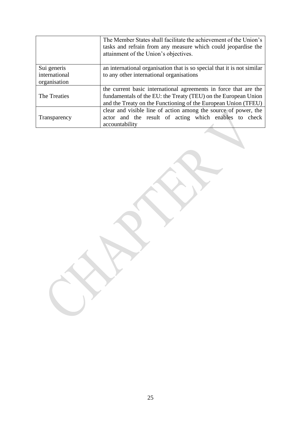|                              | The Member States shall facilitate the achievement of the Union's<br>tasks and refrain from any measure which could jeopardise the<br>attainment of the Union's objectives.                          |  |
|------------------------------|------------------------------------------------------------------------------------------------------------------------------------------------------------------------------------------------------|--|
| Sui generis<br>international | an international organisation that is so special that it is not similar<br>to any other international organisations                                                                                  |  |
| organisation                 |                                                                                                                                                                                                      |  |
| The Treaties                 | the current basic international agreements in force that are the<br>fundamentals of the EU: the Treaty (TEU) on the European Union<br>and the Treaty on the Functioning of the European Union (TFEU) |  |
| Transparency                 | clear and visible line of action among the source of power, the<br>actor and the result of acting which enables to check<br>accountability                                                           |  |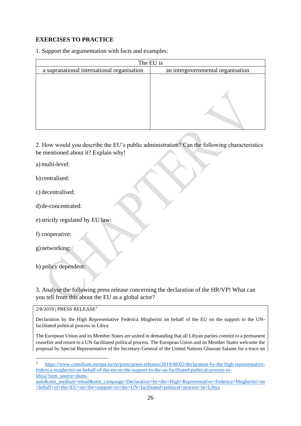# **EXERCISES TO PRACTICE**

1. Support the argumentation with facts and examples:

| The EU is                                  |                                   |
|--------------------------------------------|-----------------------------------|
| a supranational international organisation | an intergovernmental organisation |
|                                            |                                   |
|                                            |                                   |
|                                            |                                   |
|                                            |                                   |
|                                            |                                   |
|                                            |                                   |
|                                            |                                   |
|                                            |                                   |

2. How would you describe the EU's public administration? Can the following characteristics be mentioned about it? Explain why!

a) multi-level:

b)centralised:

c) decentralised:

d)de-concentrated:

e) strictly regulated by EU law:

f) cooperative:

g)networking:

h) policy dependent:

3. Analyse the following press release concerning the declaration of the HR/VP! What can you tell from this about the EU as a global actor?

2/8/2019 | PRESS RELEASE<sup>3</sup>

Declaration by the High Representative Federica Mogherini on behalf of the EU on the support to the UNfacilitated political process in Libya

The European Union and its Member States are united in demanding that all Libyan parties commit to a permanent ceasefire and return to a UN-facilitated political process. The European Union and its Member States welcome the proposal by Special Representative of the Secretary-General of the United Nations Ghassan Salame for a truce on

[https://www.consilium.europa.eu/en/press/press-releases/2019/08/02/declaration-by-the-high-representative](https://www.consilium.europa.eu/en/press/press-releases/2019/08/02/declaration-by-the-high-representative-federica-mogherini-on-behalf-of-the-eu-on-the-support-to-the-un-facilitated-political-process-in-libya/?utm_source=dsms-auto&utm_medium=email&utm_campaign=Declaration+by+the+High+Representative+Federica+Mogherini+on+behalf+of+the+EU+on+the+support+to+the+UN+facilitated+political+process+in+Libya)[federica-mogherini-on-behalf-of-the-eu-on-the-support-to-the-un-facilitated-political-process-in](https://www.consilium.europa.eu/en/press/press-releases/2019/08/02/declaration-by-the-high-representative-federica-mogherini-on-behalf-of-the-eu-on-the-support-to-the-un-facilitated-political-process-in-libya/?utm_source=dsms-auto&utm_medium=email&utm_campaign=Declaration+by+the+High+Representative+Federica+Mogherini+on+behalf+of+the+EU+on+the+support+to+the+UN+facilitated+political+process+in+Libya)[libya/?utm\\_source=dsms-](https://www.consilium.europa.eu/en/press/press-releases/2019/08/02/declaration-by-the-high-representative-federica-mogherini-on-behalf-of-the-eu-on-the-support-to-the-un-facilitated-political-process-in-libya/?utm_source=dsms-auto&utm_medium=email&utm_campaign=Declaration+by+the+High+Representative+Federica+Mogherini+on+behalf+of+the+EU+on+the+support+to+the+UN+facilitated+political+process+in+Libya)

[auto&utm\\_medium=email&utm\\_campaign=Declaration+by+the+High+Representative+Federica+Mogherini+on](https://www.consilium.europa.eu/en/press/press-releases/2019/08/02/declaration-by-the-high-representative-federica-mogherini-on-behalf-of-the-eu-on-the-support-to-the-un-facilitated-political-process-in-libya/?utm_source=dsms-auto&utm_medium=email&utm_campaign=Declaration+by+the+High+Representative+Federica+Mogherini+on+behalf+of+the+EU+on+the+support+to+the+UN+facilitated+political+process+in+Libya) [+behalf+of+the+EU+on+the+support+to+the+UN+facilitated+political+process+in+Libya](https://www.consilium.europa.eu/en/press/press-releases/2019/08/02/declaration-by-the-high-representative-federica-mogherini-on-behalf-of-the-eu-on-the-support-to-the-un-facilitated-political-process-in-libya/?utm_source=dsms-auto&utm_medium=email&utm_campaign=Declaration+by+the+High+Representative+Federica+Mogherini+on+behalf+of+the+EU+on+the+support+to+the+UN+facilitated+political+process+in+Libya)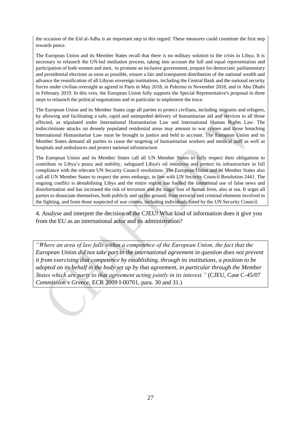the occasion of the Eid al-Adha is an important step in this regard. These measures could constitute the first step towards peace.

The European Union and its Member States recall that there is no military solution to the crisis in Libya. It is necessary to relaunch the UN-led mediation process, taking into account the full and equal representation and participation of both women and men, to promote an inclusive government, prepare for democratic parliamentary and presidential elections as soon as possible, ensure a fair and transparent distribution of the national wealth and advance the reunification of all Libyan sovereign institutions, including the Central Bank and the national security forces under civilian oversight as agreed in Paris in May 2018, in Palermo in November 2018, and in Abu Dhabi in February 2019. In this vein, the European Union fully supports the Special Representative's proposal in three steps to relaunch the political negotiations and in particular to implement the truce.

The European Union and its Member States urge all parties to protect civilians, including migrants and refugees, by allowing and facilitating a safe, rapid and unimpeded delivery of humanitarian aid and services to all those affected, as stipulated under International Humanitarian Law and International Human Rights Law. The indiscriminate attacks on densely populated residential areas may amount to war crimes and those breaching International Humanitarian Law must be brought to justice and held to account. The European Union and its Member States demand all parties to cease the targeting of humanitarian workers and medical staff as well as hospitals and ambulances and protect national infrastructure.

The European Union and its Member States call all UN Member States to fully respect their obligations to contribute to Libya's peace and stability, safeguard Libya's oil resources and protect its infrastructure in full compliance with the relevant UN Security Council resolutions. The European Union and its Member States also call all UN Member States to respect the arms embargo, in line with UN Security Council Resolution 2441. The ongoing conflict is destabilising Libya and the entire region has fuelled the intentional use of false news and disinformation and has increased the risk of terrorism and the tragic loss of human lives, also at sea. It urges all parties to dissociate themselves, both publicly and on the ground, from terrorist and criminal elements involved in the fighting, and from those suspected of war crimes, including individuals listed by the UN Security Council.

4. Analyse and interpret the decision of the CJEU! What kind of information does it give you from the EU as an international actor and its administration?

*"Where an area of law falls within a competence of the European Union, the fact that the European Union did not take part in the international agreement in question does not prevent it from exercising that competence by establishing, through its institutions, a position to be adopted on its behalf in the body set up by that agreement, in particular through the Member States which are party to that agreement acting jointly in its interest."* (CJEU, Case C-45/07 *Commission v Greece*, ECR 2009 I-00701, para. 30 and 31.)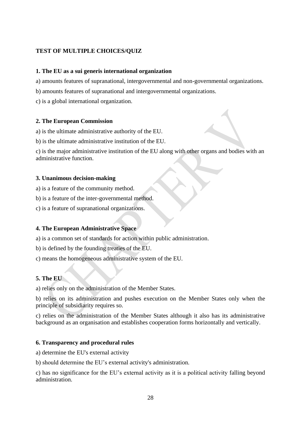# **TEST OF MULTIPLE CHOICES/QUIZ**

#### **1. The EU as a sui generis international organization**

a) amounts features of supranational, intergovernmental and non-governmental organizations.

- b) amounts features of supranational and intergovernmental organizations.
- c) is a global international organization.

#### **2. The European Commission**

- a) is the ultimate administrative authority of the EU.
- b) is the ultimate administrative institution of the EU.

c) is the major administrative institution of the EU along with other organs and bodies with an administrative function.

#### **3. Unanimous decision-making**

- a) is a feature of the community method.
- b) is a feature of the inter-governmental method.
- c) is a feature of supranational organizations.

#### **4. The European Administrative Space**

- a) is a common set of standards for action within public administration.
- b) is defined by the founding treaties of the EU.
- c) means the homogeneous administrative system of the EU.

#### **5. The EU**

a) relies only on the administration of the Member States.

b) relies on its administration and pushes execution on the Member States only when the principle of subsidiarity requires so.

c) relies on the administration of the Member States although it also has its administrative background as an organisation and establishes cooperation forms horizontally and vertically.

#### **6. Transparency and procedural rules**

a) determine the EU's external activity

b) should determine the EU's external activity's administration.

c) has no significance for the EU's external activity as it is a political activity falling beyond administration.